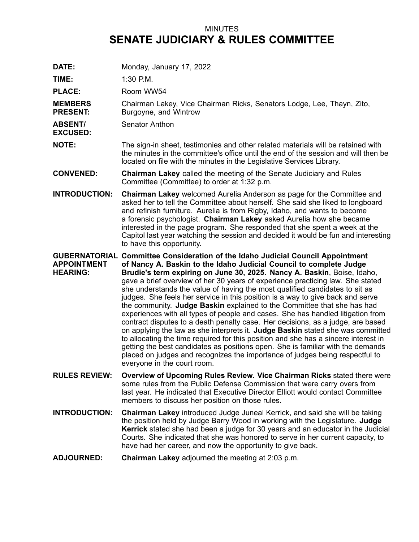## MINUTES **SENATE JUDICIARY & RULES COMMITTEE**

**DATE:** Monday, January 17, 2022

**TIME:** 1:30 P.M.

PLACE: Room WW54

**MEMBERS PRESENT:** Chairman Lakey, Vice Chairman Ricks, Senators Lodge, Lee, Thayn, Zito, Burgoyne, and Wintrow

**ABSENT/** Senator Anthon

**EXCUSED:**

**NOTE:** The sign-in sheet, testimonies and other related materials will be retained with the minutes in the committee's office until the end of the session and will then be located on file with the minutes in the Legislative Services Library.

**CONVENED: Chairman Lakey** called the meeting of the Senate Judiciary and Rules Committee (Committee) to order at 1:32 p.m.

**INTRODUCTION: Chairman Lakey** welcomed Aurelia Anderson as page for the Committee and asked her to tell the Committee about herself. She said she liked to longboard and refinish furniture. Aurelia is from Rigby, Idaho, and wants to become <sup>a</sup> forensic psychologist. **Chairman Lakey** asked Aurelia how she became interested in the page program. She responded that she spent <sup>a</sup> week at the Capitol last year watching the session and decided it would be fun and interesting to have this opportunity.

**GUBERNATORIAL Committee Consideration of the Idaho Judicial Council Appointment APPOINTMENT HEARING: of Nancy A. Baskin to the Idaho Judicial Council to complete Judge Brudie's term expiring on June 30, 2025. Nancy A. Baskin**, Boise, Idaho, gave <sup>a</sup> brief overview of her 30 years of experience practicing law. She stated she understands the value of having the most qualified candidates to sit as judges. She feels her service in this position is <sup>a</sup> way to give back and serve the community. **Judge Baskin** explained to the Committee that she has had experiences with all types of people and cases. She has handled litigation from contract disputes to <sup>a</sup> death penalty case. Her decisions, as <sup>a</sup> judge, are based on applying the law as she interprets it. **Judge Baskin** stated she was committed to allocating the time required for this position and she has <sup>a</sup> sincere interest in getting the best candidates as positions open. She is familiar with the demands placed on judges and recognizes the importance of judges being respectful to everyone in the court room.

- **RULES REVIEW: Overview of Upcoming Rules Review. Vice Chairman Ricks** stated there were some rules from the Public Defense Commission that were carry overs from last year. He indicated that Executive Director Elliott would contact Committee members to discuss her position on those rules.
- **INTRODUCTION: Chairman Lakey** introduced Judge Juneal Kerrick, and said she will be taking the position held by Judge Barry Wood in working with the Legislature. **Judge Kerrick** stated she had been <sup>a</sup> judge for 30 years and an educator in the Judicial Courts. She indicated that she was honored to serve in her current capacity, to have had her career, and now the opportunity to give back.
- **ADJOURNED: Chairman Lakey** adjourned the meeting at 2:03 p.m.